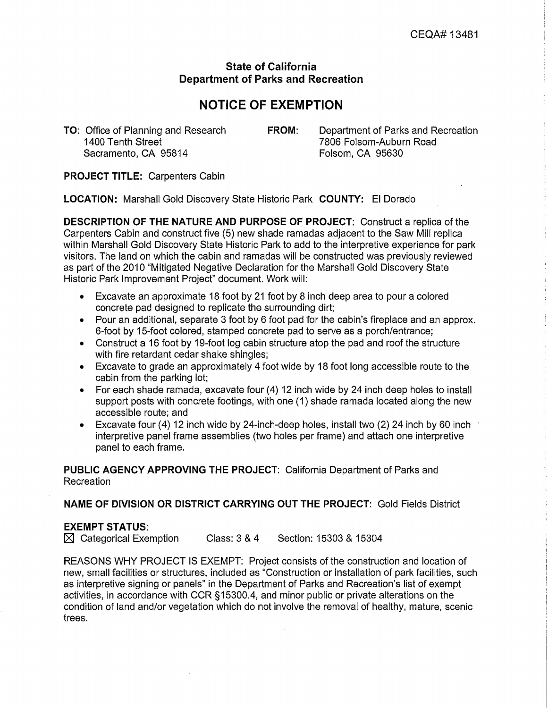## **State of California Department of Parks and Recreation**

## **NOTICE OF EXEMPTION**

Sacramento, CA 95814

**TO:** Office of Planning and Research **FROM:** Department of Parks and Recreation 1400 Tenth Street **FROM:** 7806 Folsom-Auburn Road 7806 Folsom-Auburn Road<br>Folsom. CA 95630

**PROJECT TITLE:** Carpenters Cabin

**LOCATION:** Marshall Gold Discovery State Historic Park **COUNTY:** El Dorado

**DESCRIPTION OF THE NATURE AND PURPOSE OF PROJECT:** Construct a replica of the Carpenters Cabin and construct five (5) new shade ramadas adjacent to the Saw Mill replica within Marshall Gold Discovery State Historic Park to add to the interpretive experience for park visitors. The land on which the cabin and ramadas will be constructed was previously reviewed as part of the 2010 "Mitigated Negative Declaration for the Marshall Gold Discovery State Historic Park Improvement Project" document. Work will:

- Excavate an approximate 18 foot by 21 foot by 8 inch deep area to pour a colored concrete pad designed to replicate the surrounding dirt;
- Pour an additional, separate 3 foot by 6 foot pad for the cabin's fireplace and an approx. 6-foot by 15-foot colored, stamped concrete pad to serve as a porch/entrance;
- Construct a 16 foot by 19-foot log cabin structure atop the pad and roof the structure with fire retardant cedar shake shingles;
- Excavate to grade an approximately 4 foot wide by 18 foot long accessible route to the cabin from the parking lot;
- For each shade ramada, excavate four (4) 12 inch wide by 24 inch deep holes to install support posts with concrete footings, with one (1) shade ramada located along the new accessible route; and
- Excavate four (4) 12 inch wide by 24-inch-deep holes, install two (2) 24 inch by 60 inch interpretive panel frame assemblies (two holes per frame) and attach one interpretive panel to each frame.

**PUBLIC AGENCY APPROVING THE PROJECT:** California Department of Parks and Recreation

**NAME OF DIVISION OR DISTRICT CARRYING OUT THE PROJECT:** Gold Fields District

## **EXEMPT STATUS:**

 $\boxtimes$  Categorical Exemption Class:  $3 \times 4$  Section: 15303 & 15304

REASONS WHY PROJECT IS EXEMPT: Project consists of the construction and location of new, small facilities or structures, included as "Construction or installation of park facilities, such as interpretive signing or panels" in the Department of Parks and Recreation's list of exempt activities, in accordance with CCR § 15300.4, and minor public or private alterations on the condition of land and/or vegetation which do not involve the removal of healthy, mature, scenic trees.